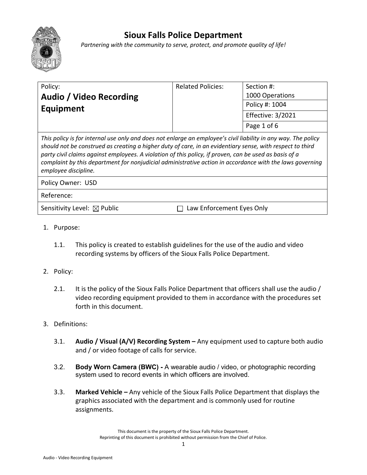

## **Sioux Falls Police Department**

*Partnering with the community to serve, protect, and promote quality of life!*

| Policy:                                                                                                                                                                                                                          | <b>Related Policies:</b> | Section #:               |
|----------------------------------------------------------------------------------------------------------------------------------------------------------------------------------------------------------------------------------|--------------------------|--------------------------|
| Audio / Video Recording<br>Equipment                                                                                                                                                                                             |                          | 1000 Operations          |
|                                                                                                                                                                                                                                  |                          | Policy #: 1004           |
|                                                                                                                                                                                                                                  |                          | <b>Effective: 3/2021</b> |
|                                                                                                                                                                                                                                  |                          | Page 1 of 6              |
| This policy is for internal use only and does not enlarge an employee's civil liability in any way. The policy<br>sharibbe as has a constanced as a consideration of the baseball contains and description of the composition of |                          |                          |

*should not be construed as creating a higher duty of care, in an evidentiary sense, with respect to third party civil claims against employees. A violation of this policy, if proven, can be used as basis of a complaint by this department for nonjudicial administrative action in accordance with the laws governing employee discipline.*

Policy Owner: USD

Reference:

Sensitivity Level:  $\boxtimes$  Public  $\Box$  Law Enforcement Eyes Only

- 1. Purpose:
	- 1.1. This policy is created to establish guidelines for the use of the audio and video recording systems by officers of the Sioux Falls Police Department.
- 2. Policy:
	- 2.1. It is the policy of the Sioux Falls Police Department that officers shall use the audio / video recording equipment provided to them in accordance with the procedures set forth in this document.
- 3. Definitions:
	- 3.1. **Audio / Visual (A/V) Recording System –** Any equipment used to capture both audio and / or video footage of calls for service.
	- 3.2. **Body Worn Camera (BWC) -** A wearable audio / video, or photographic recording system used to record events in which officers are involved.
	- 3.3. **Marked Vehicle –** Any vehicle of the Sioux Falls Police Department that displays the graphics associated with the department and is commonly used for routine assignments.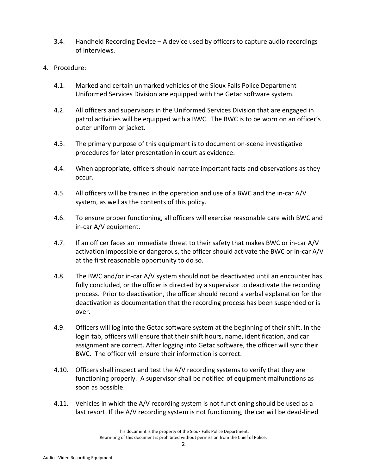- 3.4. Handheld Recording Device A device used by officers to capture audio recordings of interviews.
- 4. Procedure:
	- 4.1. Marked and certain unmarked vehicles of the Sioux Falls Police Department Uniformed Services Division are equipped with the Getac software system.
	- 4.2. All officers and supervisors in the Uniformed Services Division that are engaged in patrol activities will be equipped with a BWC. The BWC is to be worn on an officer's outer uniform or jacket.
	- 4.3. The primary purpose of this equipment is to document on-scene investigative procedures for later presentation in court as evidence.
	- 4.4. When appropriate, officers should narrate important facts and observations as they occur.
	- 4.5. All officers will be trained in the operation and use of a BWC and the in-car A/V system, as well as the contents of this policy.
	- 4.6. To ensure proper functioning, all officers will exercise reasonable care with BWC and in-car A/V equipment.
	- 4.7. If an officer faces an immediate threat to their safety that makes BWC or in-car A/V activation impossible or dangerous, the officer should activate the BWC or in-car A/V at the first reasonable opportunity to do so.
	- 4.8. The BWC and/or in-car A/V system should not be deactivated until an encounter has fully concluded, or the officer is directed by a supervisor to deactivate the recording process. Prior to deactivation, the officer should record a verbal explanation for the deactivation as documentation that the recording process has been suspended or is over.
	- 4.9. Officers will log into the Getac software system at the beginning of their shift. In the login tab, officers will ensure that their shift hours, name, identification, and car assignment are correct. After logging into Getac software, the officer will sync their BWC. The officer will ensure their information is correct.
	- 4.10. Officers shall inspect and test the A/V recording systems to verify that they are functioning properly. A supervisor shall be notified of equipment malfunctions as soon as possible.
	- 4.11. Vehicles in which the A/V recording system is not functioning should be used as a last resort. If the A/V recording system is not functioning, the car will be dead-lined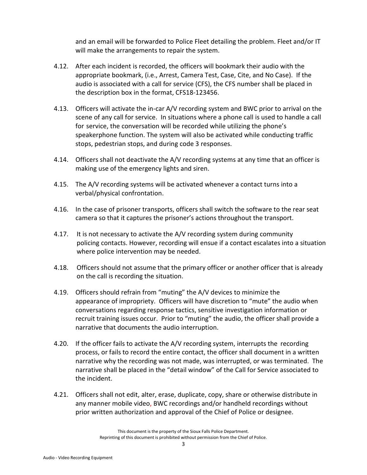and an email will be forwarded to Police Fleet detailing the problem. Fleet and/or IT will make the arrangements to repair the system.

- 4.12. After each incident is recorded, the officers will bookmark their audio with the appropriate bookmark, (i.e., Arrest, Camera Test, Case, Cite, and No Case). If the audio is associated with a call for service (CFS), the CFS number shall be placed in the description box in the format, CFS18-123456.
- 4.13. Officers will activate the in-car A/V recording system and BWC prior to arrival on the scene of any call for service. In situations where a phone call is used to handle a call for service, the conversation will be recorded while utilizing the phone's speakerphone function. The system will also be activated while conducting traffic stops, pedestrian stops, and during code 3 responses.
- 4.14. Officers shall not deactivate the A/V recording systems at any time that an officer is making use of the emergency lights and siren.
- 4.15. The A/V recording systems will be activated whenever a contact turns into a verbal/physical confrontation.
- 4.16. In the case of prisoner transports, officers shall switch the software to the rear seat camera so that it captures the prisoner's actions throughout the transport.
- 4.17. It is not necessary to activate the A/V recording system during community policing contacts. However, recording will ensue if a contact escalates into a situation where police intervention may be needed.
- 4.18. Officers should not assume that the primary officer or another officer that is already on the call is recording the situation.
- 4.19. Officers should refrain from "muting" the A/V devices to minimize the appearance of impropriety. Officers will have discretion to "mute" the audio when conversations regarding response tactics, sensitive investigation information or recruit training issues occur. Prior to "muting" the audio, the officer shall provide a narrative that documents the audio interruption.
- 4.20. If the officer fails to activate the A/V recording system, interrupts the recording process, or fails to record the entire contact, the officer shall document in a written narrative why the recording was not made, was interrupted, or was terminated. The narrative shall be placed in the "detail window" of the Call for Service associated to the incident.
- 4.21. Officers shall not edit, alter, erase, duplicate, copy, share or otherwise distribute in any manner mobile video, BWC recordings and/or handheld recordings without prior written authorization and approval of the Chief of Police or designee.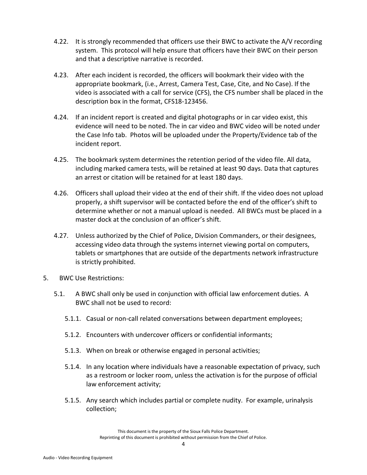- 4.22. It is strongly recommended that officers use their BWC to activate the A/V recording system. This protocol will help ensure that officers have their BWC on their person and that a descriptive narrative is recorded.
- 4.23. After each incident is recorded, the officers will bookmark their video with the appropriate bookmark, (i.e., Arrest, Camera Test, Case, Cite, and No Case). If the video is associated with a call for service (CFS), the CFS number shall be placed in the description box in the format, CFS18-123456.
- 4.24. If an incident report is created and digital photographs or in car video exist, this evidence will need to be noted. The in car video and BWC video will be noted under the Case Info tab. Photos will be uploaded under the Property/Evidence tab of the incident report.
- 4.25. The bookmark system determines the retention period of the video file. All data, including marked camera tests, will be retained at least 90 days. Data that captures an arrest or citation will be retained for at least 180 days.
- 4.26. Officers shall upload their video at the end of their shift. If the video does not upload properly, a shift supervisor will be contacted before the end of the officer's shift to determine whether or not a manual upload is needed. All BWCs must be placed in a master dock at the conclusion of an officer's shift.
- 4.27. Unless authorized by the Chief of Police, Division Commanders, or their designees, accessing video data through the systems internet viewing portal on computers, tablets or smartphones that are outside of the departments network infrastructure is strictly prohibited.
- 5. BWC Use Restrictions:
	- 5.1. A BWC shall only be used in conjunction with official law enforcement duties. A BWC shall not be used to record:
		- 5.1.1. Casual or non-call related conversations between department employees;
		- 5.1.2. Encounters with undercover officers or confidential informants;
		- 5.1.3. When on break or otherwise engaged in personal activities;
		- 5.1.4. In any location where individuals have a reasonable expectation of privacy, such as a restroom or locker room, unless the activation is for the purpose of official law enforcement activity;
		- 5.1.5. Any search which includes partial or complete nudity. For example, urinalysis collection;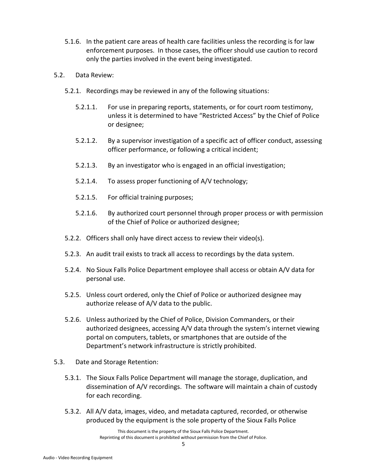- 5.1.6. In the patient care areas of health care facilities unless the recording is for law enforcement purposes. In those cases, the officer should use caution to record only the parties involved in the event being investigated.
- 5.2. Data Review:
	- 5.2.1. Recordings may be reviewed in any of the following situations:
		- 5.2.1.1. For use in preparing reports, statements, or for court room testimony, unless it is determined to have "Restricted Access" by the Chief of Police or designee;
		- 5.2.1.2. By a supervisor investigation of a specific act of officer conduct, assessing officer performance, or following a critical incident;
		- 5.2.1.3. By an investigator who is engaged in an official investigation;
		- 5.2.1.4. To assess proper functioning of A/V technology;
		- 5.2.1.5. For official training purposes;
		- 5.2.1.6. By authorized court personnel through proper process or with permission of the Chief of Police or authorized designee;
	- 5.2.2. Officers shall only have direct access to review their video(s).
	- 5.2.3. An audit trail exists to track all access to recordings by the data system.
	- 5.2.4. No Sioux Falls Police Department employee shall access or obtain A/V data for personal use.
	- 5.2.5. Unless court ordered, only the Chief of Police or authorized designee may authorize release of A/V data to the public.
	- 5.2.6. Unless authorized by the Chief of Police, Division Commanders, or their authorized designees, accessing A/V data through the system's internet viewing portal on computers, tablets, or smartphones that are outside of the Department's network infrastructure is strictly prohibited.
- 5.3. Date and Storage Retention:
	- 5.3.1. The Sioux Falls Police Department will manage the storage, duplication, and dissemination of A/V recordings. The software will maintain a chain of custody for each recording.
	- 5.3.2. All A/V data, images, video, and metadata captured, recorded, or otherwise produced by the equipment is the sole property of the Sioux Falls Police